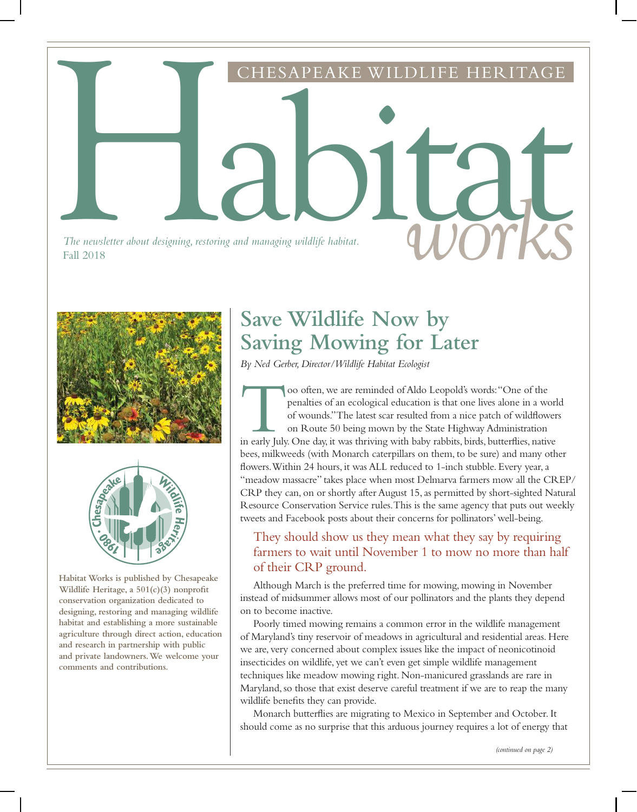





**Habitat Works is published by Chesapeake Wildlife Heritage, a 501(c)(3) nonprofit conservation organization dedicated to designing, restoring and managing wildlife habitat and establishing a more sustainable agriculture through direct action, education and research in partnership with public and private landowners. We welcome your comments and contributions.**

# **Save Wildlife Now by Saving Mowing for Later**

*By Ned Gerber, Director/Wildlife Habitat Ecologist*

oo often, we are reminded of Aldo Leopold's words: "One of the penalties of an ecological education is that one lives alone in a worl of wounds."The latest scar resulted from a nice patch of wildflower on Route 50 being mo oo often, we are reminded of Aldo Leopold's words: "One of the penalties of an ecological education is that one lives alone in a world of wounds." The latest scar resulted from a nice patch of wildflowers on Route 50 being mown by the State Highway Administration bees, milkweeds (with Monarch caterpillars on them, to be sure) and many other flowers. Within 24 hours, it was ALL reduced to 1-inch stubble. Every year, a "meadow massacre" takes place when most Delmarva farmers mow all the CREP/ CRP they can, on or shortly after August 15, as permitted by short-sighted Natural Resource Conservation Service rules. This is the same agency that puts out weekly tweets and Facebook posts about their concerns for pollinators' well-being.

## They should show us they mean what they say by requiring farmers to wait until November 1 to mow no more than half of their CRP ground.

Although March is the preferred time for mowing, mowing in November instead of midsummer allows most of our pollinators and the plants they depend on to become inactive.

Poorly timed mowing remains a common error in the wildlife management of Maryland's tiny reservoir of meadows in agricultural and residential areas. Here we are, very concerned about complex issues like the impact of neonicotinoid insecticides on wildlife, yet we can't even get simple wildlife management techniques like meadow mowing right. Non-manicured grasslands are rare in Maryland, so those that exist deserve careful treatment if we are to reap the many wildlife benefits they can provide.

Monarch butterflies are migrating to Mexico in September and October. It should come as no surprise that this arduous journey requires a lot of energy that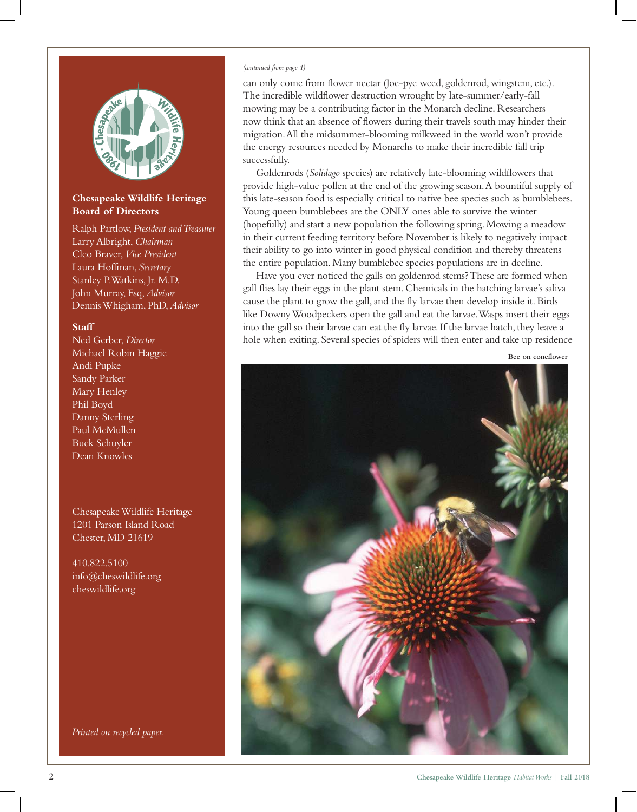

#### **Chesapeake Wildlife Heritage Board of Directors**

Ralph Partlow, *President and Treasurer* Larry Albright, *Chairman* Cleo Braver, *Vice President* Laura Hoffman, *Secretary* Stanley P. Watkins, Jr. M.D. John Murray, Esq, *Advisor* Dennis Whigham, PhD, *Advisor*

#### **Staff**

Ned Gerber, *Director* Michael Robin Haggie Andi Pupke Sandy Parker Mary Henley Phil Boyd Danny Sterling Paul McMullen Buck Schuyler Dean Knowles

Chesapeake Wildlife Heritage 1201 Parson Island Road Chester, MD 21619

410.822.5100 info@cheswildlife.org cheswildlife.org

*Printed on recycled paper.*

#### *(continued from page 1)*

can only come from flower nectar (Joe-pye weed, goldenrod, wingstem, etc.). The incredible wildflower destruction wrought by late-summer/early-fall mowing may be a contributing factor in the Monarch decline. Researchers now think that an absence of flowers during their travels south may hinder their migration. All the midsummer-blooming milkweed in the world won't provide the energy resources needed by Monarchs to make their incredible fall trip successfully.

Goldenrods (*Solidago* species) are relatively late-blooming wildflowers that provide high-value pollen at the end of the growing season. A bountiful supply of this late-season food is especially critical to native bee species such as bumblebees. Young queen bumblebees are the ONLY ones able to survive the winter (hopefully) and start a new population the following spring. Mowing a meadow in their current feeding territory before November is likely to negatively impact their ability to go into winter in good physical condition and thereby threatens the entire population. Many bumblebee species populations are in decline.

Have you ever noticed the galls on goldenrod stems? These are formed when gall flies lay their eggs in the plant stem. Chemicals in the hatching larvae's saliva cause the plant to grow the gall, and the fly larvae then develop inside it. Birds like Downy Woodpeckers open the gall and eat the larvae. Wasps insert their eggs into the gall so their larvae can eat the fly larvae. If the larvae hatch, they leave a hole when exiting. Several species of spiders will then enter and take up residence



**Bee on coneflower**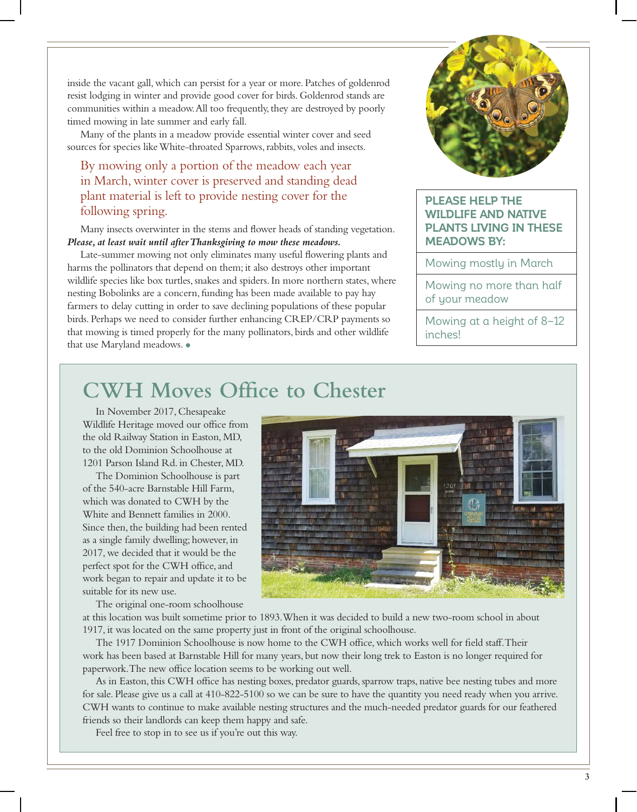inside the vacant gall, which can persist for a year or more. Patches of goldenrod resist lodging in winter and provide good cover for birds. Goldenrod stands are communities within a meadow. All too frequently, they are destroyed by poorly timed mowing in late summer and early fall.

Many of the plants in a meadow provide essential winter cover and seed sources for species like White-throated Sparrows, rabbits, voles and insects.

## By mowing only a portion of the meadow each year in March, winter cover is preserved and standing dead plant material is left to provide nesting cover for the following spring.

Many insects overwinter in the stems and flower heads of standing vegetation. *Please, at least wait until after Thanksgiving to mow these meadows.* 

Late-summer mowing not only eliminates many useful flowering plants and harms the pollinators that depend on them; it also destroys other important wildlife species like box turtles, snakes and spiders. In more northern states, where nesting Bobolinks are a concern, funding has been made available to pay hay farmers to delay cutting in order to save declining populations of these popular birds. Perhaps we need to consider further enhancing CREP/CRP payments so that mowing is timed properly for the many pollinators, birds and other wildlife that use Maryland meadows. •



#### **PLEASE HELP THE WILDLIFE AND NATIVE PLANTS LIVING IN THESE MEADOWS BY:**

Mowing mostly in March

Mowing no more than half of your meadow

Mowing at a height of 8–12 inches!

## **CWH Moves Office to Chester**

In November 2017, Chesapeake Wildlife Heritage moved our office from the old Railway Station in Easton, MD, to the old Dominion Schoolhouse at 1201 Parson Island Rd. in Chester, MD.

The Dominion Schoolhouse is part of the 540-acre Barnstable Hill Farm, which was donated to CWH by the White and Bennett families in 2000. Since then, the building had been rented as a single family dwelling; however, in 2017, we decided that it would be the perfect spot for the CWH office, and work began to repair and update it to be suitable for its new use.



The original one-room schoolhouse

at this location was built sometime prior to 1893. When it was decided to build a new two-room school in about 1917, it was located on the same property just in front of the original schoolhouse.

The 1917 Dominion Schoolhouse is now home to the CWH office, which works well for field staff. Their work has been based at Barnstable Hill for many years, but now their long trek to Easton is no longer required for paperwork. The new office location seems to be working out well.

As in Easton, this CWH office has nesting boxes, predator guards, sparrow traps, native bee nesting tubes and more for sale. Please give us a call at 410-822-5100 so we can be sure to have the quantity you need ready when you arrive. CWH wants to continue to make available nesting structures and the much-needed predator guards for our feathered friends so their landlords can keep them happy and safe.

Feel free to stop in to see us if you're out this way.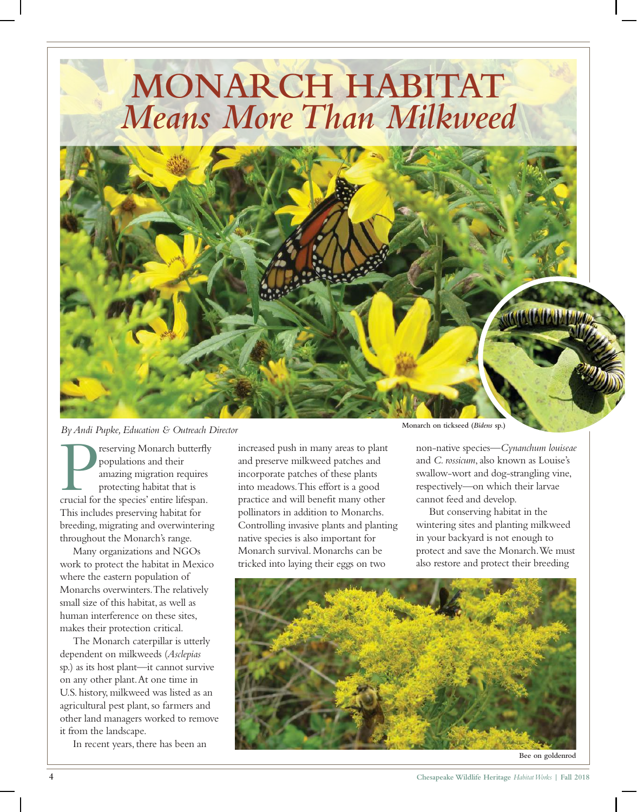

*By Andi Pupke, Education & Outreach Director*

Preserving Monarch butterfly<br>populations and their<br>amazing migration requires<br>protecting habitat that is<br>crucial for the species' entire lifespan. reserving Monarch butterfly populations and their amazing migration requires protecting habitat that is This includes preserving habitat for breeding, migrating and overwintering throughout the Monarch's range.

Many organizations and NGOs work to protect the habitat in Mexico where the eastern population of Monarchs overwinters. The relatively small size of this habitat, as well as human interference on these sites, makes their protection critical.

The Monarch caterpillar is utterly dependent on milkweeds (*Asclepias* sp.) as its host plant—it cannot survive on any other plant. At one time in U.S. history, milkweed was listed as an agricultural pest plant, so farmers and other land managers worked to remove it from the landscape.

In recent years, there has been an

increased push in many areas to plant and preserve milkweed patches and incorporate patches of these plants into meadows. This effort is a good practice and will benefit many other pollinators in addition to Monarchs. Controlling invasive plants and planting native species is also important for Monarch survival. Monarchs can be tricked into laying their eggs on two

**Monarch on tickseed (***Bidens* **sp.)**

non-native species—*Cynanchum louiseae* and *C. rossicum*, also known as Louise's swallow-wort and dog-strangling vine, respectively—on which their larvae cannot feed and develop.

But conserving habitat in the wintering sites and planting milkweed in your backyard is not enough to protect and save the Monarch. We must also restore and protect their breeding



**Bee on goldenrod**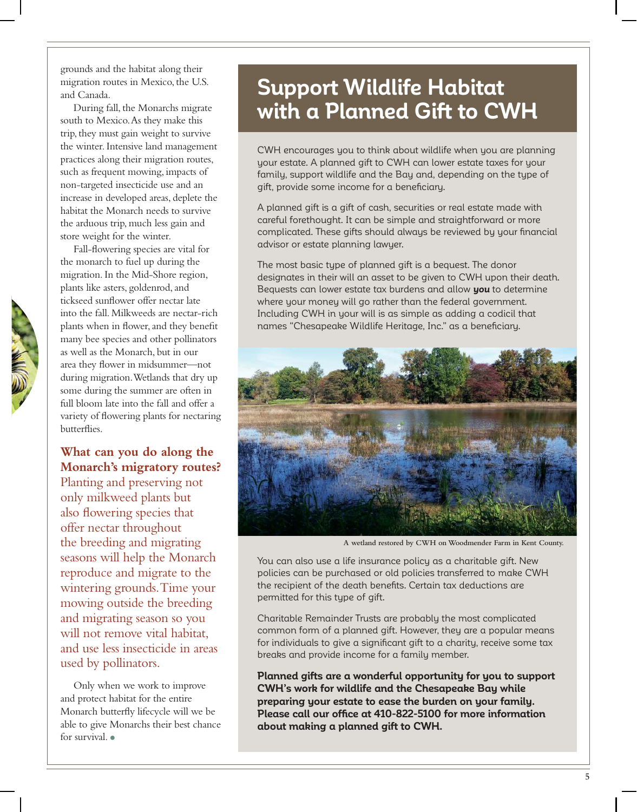grounds and the habitat along their migration routes in Mexico, the U.S. and Canada.

During fall, the Monarchs migrate south to Mexico. As they make this trip, they must gain weight to survive the winter. Intensive land management practices along their migration routes, such as frequent mowing, impacts of non-targeted insecticide use and an increase in developed areas, deplete the habitat the Monarch needs to survive the arduous trip, much less gain and store weight for the winter.

Fall-flowering species are vital for the monarch to fuel up during the migration. In the Mid-Shore region, plants like asters, goldenrod, and tickseed sunflower offer nectar late into the fall. Milkweeds are nectar-rich plants when in flower, and they benefit many bee species and other pollinators as well as the Monarch, but in our area they flower in midsummer—not during migration. Wetlands that dry up some during the summer are often in full bloom late into the fall and offer a variety of flowering plants for nectaring butterflies.

## **What can you do along the Monarch's migratory routes?**

Planting and preserving not only milkweed plants but also flowering species that offer nectar throughout the breeding and migrating seasons will help the Monarch reproduce and migrate to the wintering grounds. Time your mowing outside the breeding and migrating season so you will not remove vital habitat, and use less insecticide in areas used by pollinators.

Only when we work to improve and protect habitat for the entire Monarch butterfly lifecycle will we be able to give Monarchs their best chance for survival. •

# **Support Wildlife Habitat with a Planned Gift to CWH**

CWH encourages you to think about wildlife when you are planning your estate. A planned gift to CWH can lower estate taxes for your family, support wildlife and the Bay and, depending on the type of gift, provide some income for a beneficiary.

A planned gift is a gift of cash, securities or real estate made with careful forethought. It can be simple and straightforward or more complicated. These gifts should always be reviewed by your financial advisor or estate planning lawyer.

The most basic type of planned gift is a bequest. The donor designates in their will an asset to be given to CWH upon their death. Bequests can lower estate tax burdens and allow **you** to determine where your money will go rather than the federal government. Including CWH in your will is as simple as adding a codicil that names "Chesapeake Wildlife Heritage, Inc." as a beneficiary.



**A wetland restored by CWH on Woodmender Farm in Kent County.**

You can also use a life insurance policy as a charitable gift. New policies can be purchased or old policies transferred to make CWH the recipient of the death benefits. Certain tax deductions are permitted for this type of gift.

Charitable Remainder Trusts are probably the most complicated common form of a planned gift. However, they are a popular means for individuals to give a significant gift to a charity, receive some tax breaks and provide income for a family member.

**Planned gifts are a wonderful opportunity for you to support CWH's work for wildlife and the Chesapeake Bay while preparing your estate to ease the burden on your family. Please call our office at 410-822-5100 for more information about making a planned gift to CWH.**

**5**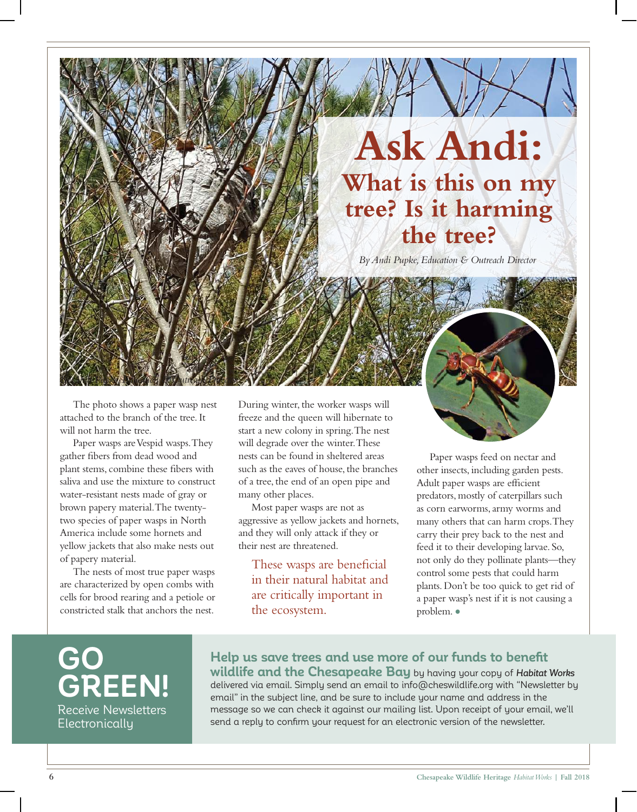# **Ask Andi: What is this on my tree? Is it harming the tree?**

*By Andi Pupke, Education & Outreach Director*

The photo shows a paper wasp nest attached to the branch of the tree. It will not harm the tree.

*By Andi Pupke, Education & Outreach Director*

Paper wasps are Vespid wasps. They gather fibers from dead wood and plant stems, combine these fibers with saliva and use the mixture to construct water-resistant nests made of gray or brown papery material. The twentytwo species of paper wasps in North America include some hornets and yellow jackets that also make nests out of papery material.

The nests of most true paper wasps are characterized by open combs with cells for brood rearing and a petiole or constricted stalk that anchors the nest.

During winter, the worker wasps will freeze and the queen will hibernate to start a new colony in spring. The nest will degrade over the winter. These nests can be found in sheltered areas such as the eaves of house, the branches of a tree, the end of an open pipe and many other places.

Most paper wasps are not as aggressive as yellow jackets and hornets, and they will only attack if they or their nest are threatened.

These wasps are beneficial in their natural habitat and are critically important in the ecosystem.

Paper wasps feed on nectar and other insects, including garden pests. Adult paper wasps are efficient predators, mostly of caterpillars such as corn earworms, army worms and many others that can harm crops. They carry their prey back to the nest and feed it to their developing larvae. So, not only do they pollinate plants—they control some pests that could harm

plants. Don't be too quick to get rid of a paper wasp's nest if it is not causing a problem. •

**GO GREEN!** Receive Newsletters Electronically

## **Help us save trees and use more of our funds to benefit**

**wildlife and the Chesapeake Bay** by having your copy of Habitat Works delivered via email. Simply send an email to info@cheswildlife.org with "Newsletter by email" in the subject line, and be sure to include your name and address in the message so we can check it against our mailing list. Upon receipt of your email, we'll send a reply to confirm your request for an electronic version of the newsletter.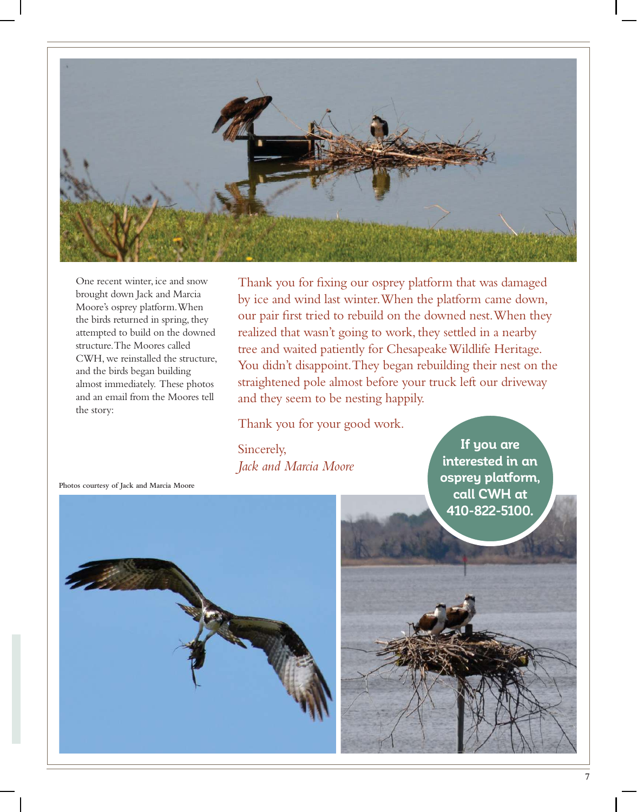

One recent winter, ice and snow brought down Jack and Marcia Moore's osprey platform. When the birds returned in spring, they attempted to build on the downed structure. The Moores called CWH, we reinstalled the structure, and the birds began building almost immediately. These photos and an email from the Moores tell the story:

Thank you for fixing our osprey platform that was damaged by ice and wind last winter. When the platform came down, our pair first tried to rebuild on the downed nest. When they realized that wasn't going to work, they settled in a nearby tree and waited patiently for Chesapeake Wildlife Heritage. You didn't disappoint. They began rebuilding their nest on the straightened pole almost before your truck left our driveway and they seem to be nesting happily.

Thank you for your good work.

Sincerely, *Jack and Marcia Moore*

**If you are interested in an osprey platform, call CWH at 410-822-5100.**